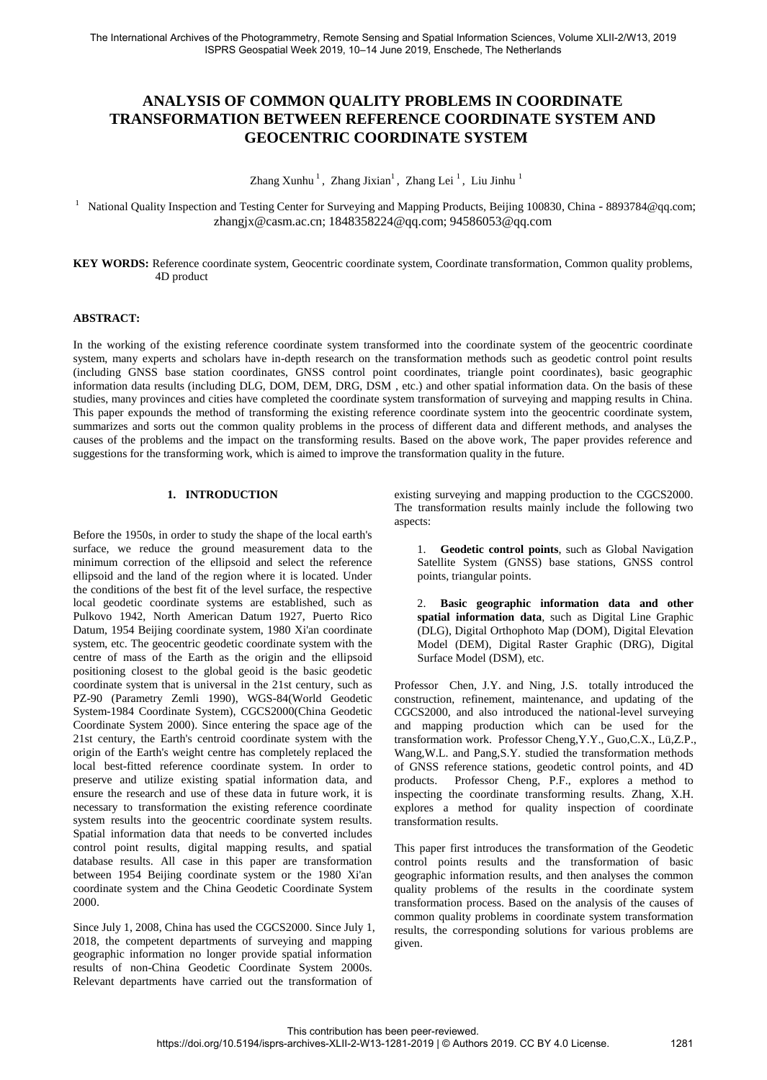# **ANALYSIS OF COMMON QUALITY PROBLEMS IN COORDINATE TRANSFORMATION BETWEEN REFERENCE COORDINATE SYSTEM AND GEOCENTRIC COORDINATE SYSTEM**

Zhang Xunhu $^1$ , Zhang Jixian $^1$ , Zhang Lei $^1$ , Liu Jinhu $^1$ 

<sup>1</sup> National Quality Inspection and Testing Center for Surveying and Mapping Products, Beijing 100830, China - [8893784@qq.com](mailto:8893784@qq.com); zhangjx@casm.ac.cn; 1848358224@qq.com; 94586053@qq.com

**KEY WORDS:** Reference coordinate system, Geocentric coordinate system, Coordinate transformation, Common quality problems, 4D product

### **ABSTRACT:**

In the working of the existing reference coordinate system transformed into the coordinate system of the geocentric coordinate system, many experts and scholars have in-depth research on the transformation methods such as geodetic control point results (including GNSS base station coordinates, GNSS control point coordinates, triangle point coordinates), basic geographic information data results (including DLG, DOM, DEM, DRG, DSM , etc.) and other spatial information data. On the basis of these studies, many provinces and cities have completed the coordinate system transformation of surveying and mapping results in China. This paper expounds the method of transforming the existing reference coordinate system into the geocentric coordinate system, summarizes and sorts out the common quality problems in the process of different data and different methods, and analyses the causes of the problems and the impact on the transforming results. Based on the above work, The paper provides reference and suggestions for the transforming work, which is aimed to improve the transformation quality in the future.

# **1. INTRODUCTION**

Before the 1950s, in order to study the shape of the local earth's surface, we reduce the ground measurement data to the minimum correction of the ellipsoid and select the reference ellipsoid and the land of the region where it is located. Under the conditions of the best fit of the level surface, the respective local geodetic coordinate systems are established, such as Pulkovo 1942, North American Datum 1927, Puerto Rico Datum, 1954 Beijing coordinate system, 1980 Xi'an coordinate system, etc. The geocentric geodetic coordinate system with the centre of mass of the Earth as the origin and the ellipsoid positioning closest to the global geoid is the basic geodetic coordinate system that is universal in the 21st century, such as PZ-90 (Parametry Zemli 1990), WGS-84(World Geodetic System-1984 Coordinate System), CGCS2000(China Geodetic Coordinate System 2000). Since entering the space age of the 21st century, the Earth's centroid coordinate system with the origin of the Earth's weight centre has completely replaced the local best-fitted reference coordinate system. In order to preserve and utilize existing spatial information data, and ensure the research and use of these data in future work, it is necessary to transformation the existing reference coordinate system results into the geocentric coordinate system results. Spatial information data that needs to be converted includes control point results, digital mapping results, and spatial database results. All case in this paper are transformation between 1954 Beijing coordinate system or the 1980 Xi'an coordinate system and the China Geodetic Coordinate System 2000.

Since July 1, 2008, China has used the CGCS2000. Since July 1, 2018, the competent departments of surveying and mapping geographic information no longer provide spatial information results of non-China Geodetic Coordinate System 2000s. Relevant departments have carried out the transformation of

existing surveying and mapping production to the CGCS2000. The transformation results mainly include the following two aspects:

1. **Geodetic control points**, such as Global Navigation Satellite System (GNSS) base stations, GNSS control points, triangular points.

2. **Basic geographic information data and other spatial information data**, such as Digital Line Graphic (DLG), Digital Orthophoto Map (DOM), Digital Elevation Model (DEM), Digital Raster Graphic (DRG), Digital Surface Model (DSM), etc.

Professor Chen, J.Y. and Ning, J.S. totally introduced the construction, refinement, maintenance, and updating of the CGCS2000, and also introduced the national-level surveying and mapping production which can be used for the transformation work. Professor Cheng,Y.Y., Guo,C.X., Lü,Z.P., Wang,W.L. and Pang,S.Y. studied the transformation methods of GNSS reference stations, geodetic control points, and 4D products. Professor Cheng, P.F., explores a method to inspecting the coordinate transforming results. Zhang, X.H. explores a method for quality inspection of coordinate transformation results.

This paper first introduces the transformation of the Geodetic control points results and the transformation of basic geographic information results, and then analyses the common quality problems of the results in the coordinate system transformation process. Based on the analysis of the causes of common quality problems in coordinate system transformation results, the corresponding solutions for various problems are given.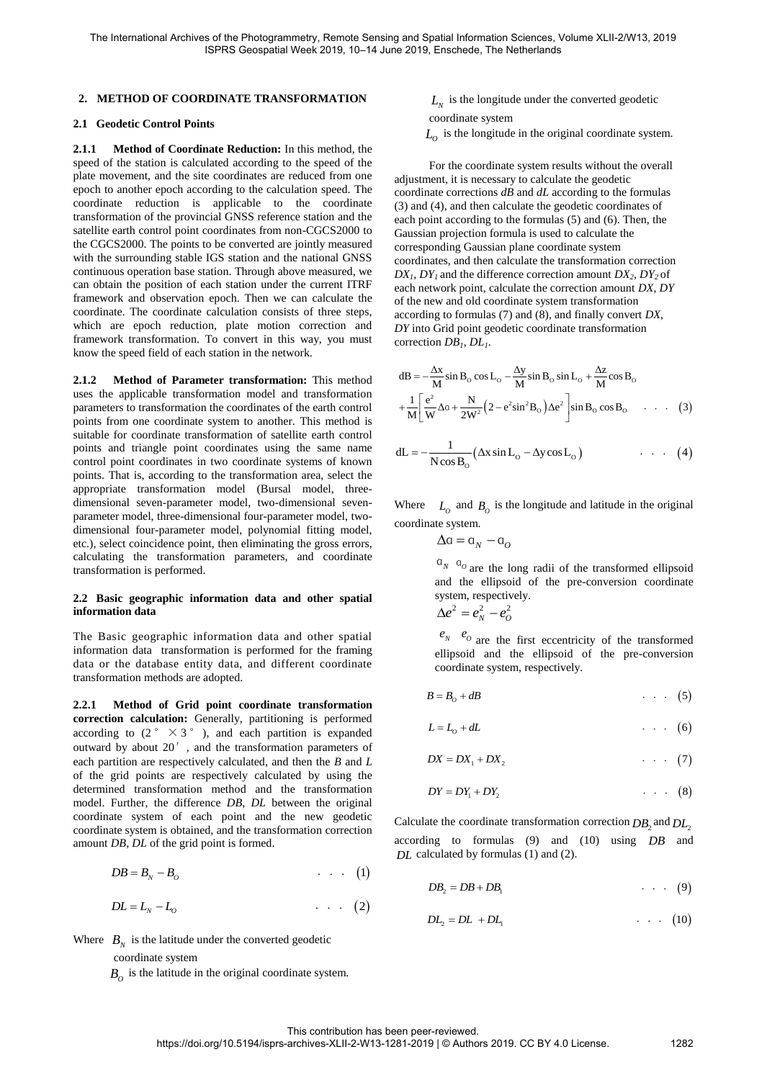#### **2. METHOD OF COORDINATE TRANSFORMATION**

#### **2.1 Geodetic Control Points**

**2.1.1 Method of Coordinate Reduction:** In this method, the speed of the station is calculated according to the speed of the plate movement, and the site coordinates are reduced from one epoch to another epoch according to the calculation speed. The coordinate reduction is applicable to the coordinate transformation of the provincial GNSS reference station and the satellite earth control point coordinates from non-CGCS2000 to the CGCS2000. The points to be converted are jointly measured with the surrounding stable IGS station and the national GNSS continuous operation base station. Through above measured, we can obtain the position of each station under the current ITRF framework and observation epoch. Then we can calculate the coordinate. The coordinate calculation consists of three steps, which are epoch reduction, plate motion correction and framework transformation. To convert in this way, you must know the speed field of each station in the network.

**2.1.2 Method of Parameter transformation:** This method uses the applicable transformation model and transformation parameters to transformation the coordinates of the earth control points from one coordinate system to another. This method is suitable for coordinate transformation of satellite earth control points and triangle point coordinates using the same name control point coordinates in two coordinate systems of known points. That is, according to the transformation area, select the appropriate transformation model (Bursal model, threedimensional seven-parameter model, two-dimensional sevenparameter model, three-dimensional four-parameter model, twodimensional four-parameter model, polynomial fitting model, etc.), select coincidence point, then eliminating the gross errors, calculating the transformation parameters, and coordinate transformation is performed.

#### **2.2 Basic geographic information data and other spatial information data**

The Basic geographic information data and other spatial information data transformation is performed for the framing data or the database entity data, and different coordinate transformation methods are adopted.

**2.2.1 Method of Grid point coordinate transformation correction calculation:** Generally, partitioning is performed according to  $(2 \degree \times 3 \degree)$ , and each partition is expanded outward by about 20′, and the transformation parameters of each partition are respectively calculated, and then the *B* and *L*  of the grid points are respectively calculated by using the determined transformation method and the transformation model. Further, the difference *DB*, *DL* between the original coordinate system of each point and the new geodetic coordinate system is obtained, and the transformation correction<br>
amount *DB*, *DL* of the grid point is formed.<br> *DB* =  $B_N - B_O$  (1) amount *DB*, *DL* of the grid point is formed.

$$
DB = B_N - B_O \tag{1}
$$

$$
DB = B_N - B_O
$$
  
\n
$$
DL = L_N - L_O
$$
  
\n(1)  
\n(2)

Where  $B_N$  is the latitude under the converted geodetic

coordinate system

 $B_{\mathcal{O}}$  is the latitude in the original coordinate system.

- $L_N$  is the longitude under the converted geodetic coordinate system
- $L_0$  is the longitude in the original coordinate system.

For the coordinate system results without the overall adjustment, it is necessary to calculate the geodetic coordinate corrections *dB* and *dL* according to the formulas (3) and (4), and then calculate the geodetic coordinates of each point according to the formulas (5) and (6). Then, the Gaussian projection formula is used to calculate the corresponding Gaussian plane coordinate system coordinates, and then calculate the transformation correction  $DX_1$ ,  $DY_1$  and the difference correction amount  $DX_2$ ,  $DY_2$  of each network point, calculate the correction amount *DX*, *DY* of the new and old coordinate system transformation according to formulas (7) and (8), and finally convert *DX*, *DY* into Grid point geodetic coordinate transformation correction *DB<sup>1</sup>* , *DL<sup>1</sup>* .

correction DB<sub>1</sub>, DL<sub>1</sub>.  
\n
$$
dB = -\frac{\Delta x}{M} \sin B_0 \cos L_0 - \frac{\Delta y}{M} \sin B_0 \sin L_0 + \frac{\Delta z}{M} \cos B_0
$$
\n
$$
+ \frac{1}{M} \left[ \frac{e^2}{W} \Delta a + \frac{N}{2W^2} \left( 2 - e^2 \sin^2 B_0 \right) \Delta e^2 \right] \sin B_0 \cos B_0 \quad \dots \quad (3)
$$

$$
+\frac{1}{M}\left[\frac{U}{W}\Delta a + \frac{1}{2W^{2}}\left(2 - e^{2}sin^{2}B_{o}\right)\Delta e^{2}\right]sin B_{o} cos B_{o} \dots (3)
$$
  

$$
dL = -\frac{1}{Ncos B_{o}}(\Delta x sin L_{o} - \Delta y cos L_{o}) \dots (4)
$$

Where  $L_0$  and  $B_0$  is the longitude and latitude in the original coordinate system.

$$
\Delta a = a_N - a_O
$$

 $a_N$   $a_O$  are the long radii of the transformed ellipsoid and the ellipsoid of the pre-conversion coordinate system, respectively.

$$
\Delta e^2 = e_N^2 - e_O^2
$$

 $e_N$   $e_O$  are the first eccentricity of the transformed ellipsoid and the ellipsoid of the pre-conversion coordinate system, respectively. ellipsoid and the ellipsoid of the pre-conversion<br>
coordinate system, respectively.<br>  $B = B_0 + dB$ <br>  $L = L_0 + dL$ <br>  $DX = DX_1 + DX_2$ <br>  $(7)$ 

$$
B=B_0+dB \qquad \qquad \ldots \qquad (5)
$$

$$
L = L_0 + dL \tag{6}
$$

$$
DX = DX_1 + DX_2 \qquad \qquad \cdots \qquad (7)
$$
  

$$
DY = DY_1 + DY_2 \qquad \qquad \cdots \qquad (8)
$$

$$
DY = DY_1 + DY_2 \tag{8}
$$

Calculate the coordinate transformation correction  $DB_2$  and  $DL_2$ according to formulas (9) and (10) using *DB* and *DL* calculated by formulas (1) and (2). Explicit Level and (10) and (10) assign  $DB$  and <br>
Level and the definition of  $DB_2 = DB + DB_1$  (9)

$$
DB_2 = DB + DB_1 \qquad \qquad \dots \qquad (9)
$$
  

$$
DL_2 = DL + DL_1 \qquad \qquad \dots \qquad (10)
$$

$$
DL_2 = DL + DL_1 \tag{10}
$$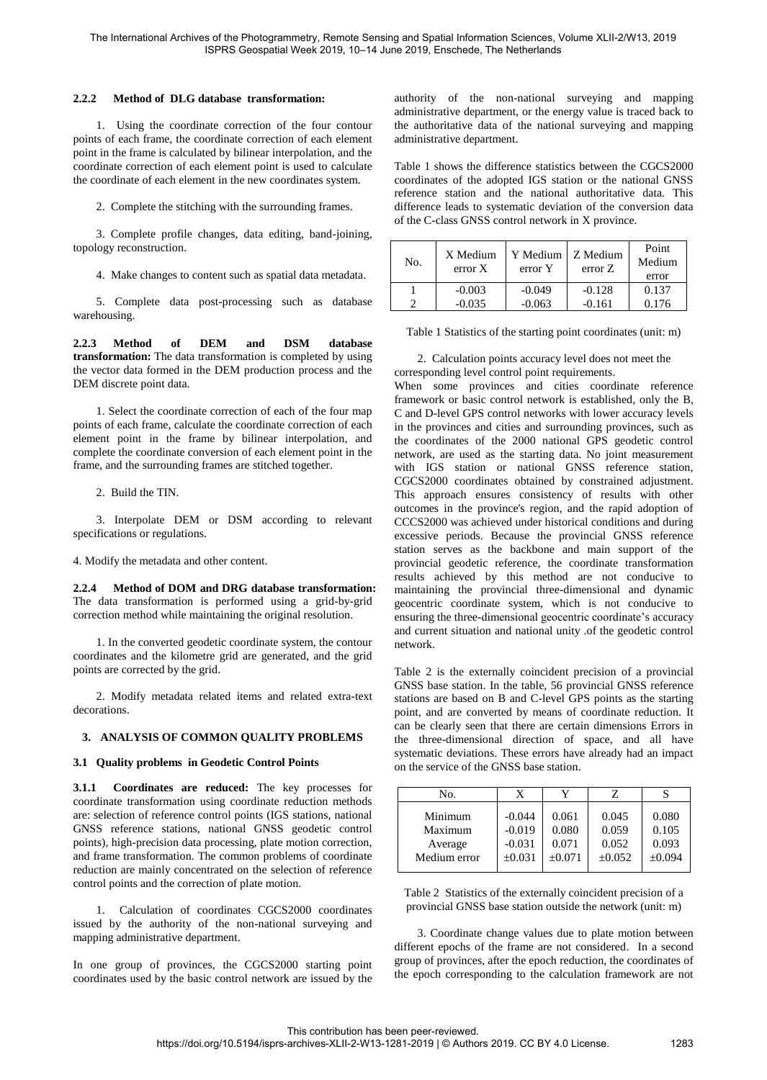#### **2.2.2 Method of DLG database transformation:**

1. Using the coordinate correction of the four contour points of each frame, the coordinate correction of each element point in the frame is calculated by bilinear interpolation, and the coordinate correction of each element point is used to calculate the coordinate of each element in the new coordinates system.

2. Complete the stitching with the surrounding frames.

3. Complete profile changes, data editing, band-joining, topology reconstruction.

4. Make changes to content such as spatial data metadata.

5. Complete data post-processing such as database warehousing.

**2.2.3 Method of DEM and DSM database transformation:** The data transformation is completed by using the vector data formed in the DEM production process and the DEM discrete point data.

1. Select the coordinate correction of each of the four map points of each frame, calculate the coordinate correction of each element point in the frame by bilinear interpolation, and complete the coordinate conversion of each element point in the frame, and the surrounding frames are stitched together.

2. Build the TIN.

3. Interpolate DEM or DSM according to relevant specifications or regulations.

4. Modify the metadata and other content.

**2.2.4 Method of DOM and DRG database transformation:** The data transformation is performed using a grid-by-grid correction method while maintaining the original resolution.

1. In the converted geodetic coordinate system, the contour coordinates and the kilometre grid are generated, and the grid points are corrected by the grid.

2. Modify metadata related items and related extra-text decorations.

### **3. ANALYSIS OF COMMON QUALITY PROBLEMS**

### **3.1 Quality problems in Geodetic Control Points**

**3.1.1 Coordinates are reduced:** The key processes for coordinate transformation using coordinate reduction methods are: selection of reference control points (IGS stations, national GNSS reference stations, national GNSS geodetic control points), high-precision data processing, plate motion correction, and frame transformation. The common problems of coordinate reduction are mainly concentrated on the selection of reference control points and the correction of plate motion.

1. Calculation of coordinates CGCS2000 coordinates issued by the authority of the non-national surveying and mapping administrative department.

In one group of provinces, the CGCS2000 starting point coordinates used by the basic control network are issued by the authority of the non-national surveying and mapping administrative department, or the energy value is traced back to the authoritative data of the national surveying and mapping administrative department.

Table 1 shows the difference statistics between the CGCS2000 coordinates of the adopted IGS station or the national GNSS reference station and the national authoritative data. This difference leads to systematic deviation of the conversion data of the C-class GNSS control network in X province.

| No. | X Medium<br>error X | Y Medium<br>error Y | Z Medium<br>error Z | Point<br>Medium<br>error |
|-----|---------------------|---------------------|---------------------|--------------------------|
|     | $-0.003$            | $-0.049$            | $-0.128$            | 0.137                    |
|     | $-0.035$            | $-0.063$            | $-0.161$            | 0.176                    |

Table 1 Statistics of the starting point coordinates (unit: m)

2. Calculation points accuracy level does not meet the corresponding level control point requirements.

When some provinces and cities coordinate reference framework or basic control network is established, only the B, C and D-level GPS control networks with lower accuracy levels in the provinces and cities and surrounding provinces, such as the coordinates of the 2000 national GPS geodetic control network, are used as the starting data. No joint measurement with IGS station or national GNSS reference station, CGCS2000 coordinates obtained by constrained adjustment. This approach ensures consistency of results with other outcomes in the province's region, and the rapid adoption of CCCS2000 was achieved under historical conditions and during excessive periods. Because the provincial GNSS reference station serves as the backbone and main support of the provincial geodetic reference, the coordinate transformation results achieved by this method are not conducive to maintaining the provincial three-dimensional and dynamic geocentric coordinate system, which is not conducive to ensuring the three-dimensional geocentric coordinate's accuracy and current situation and national unity .of the geodetic control network.

Table 2 is the externally coincident precision of a provincial GNSS base station. In the table, 56 provincial GNSS reference stations are based on B and C-level GPS points as the starting point, and are converted by means of coordinate reduction. It can be clearly seen that there are certain dimensions Errors in the three-dimensional direction of space, and all have systematic deviations. These errors have already had an impact on the service of the GNSS base station.

| No.          | X           |          |             |        |
|--------------|-------------|----------|-------------|--------|
| Minimum      | $-0.044$    | 0.061    | 0.045       | 0.080  |
| Maximum      | $-0.019$    | 0.080    | 0.059       | 0.105  |
| Average      | $-0.031$    | 0.071    | 0.052       | 0.093  |
| Medium error | $\pm 0.031$ | $+0.071$ | $\pm 0.052$ | ±0.094 |

Table 2 Statistics of the externally coincident precision of a provincial GNSS base station outside the network (unit: m)

3. Coordinate change values due to plate motion between different epochs of the frame are not considered. In a second group of provinces, after the epoch reduction, the coordinates of the epoch corresponding to the calculation framework are not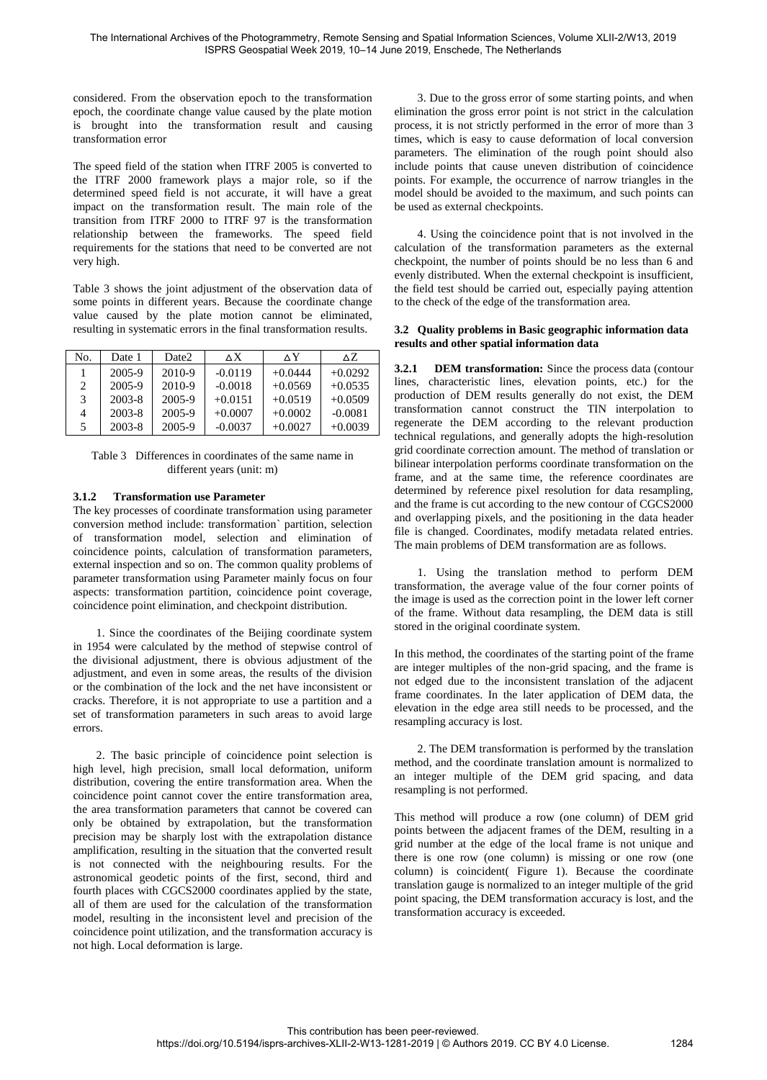considered. From the observation epoch to the transformation epoch, the coordinate change value caused by the plate motion is brought into the transformation result and causing transformation error

The speed field of the station when ITRF 2005 is converted to the ITRF 2000 framework plays a major role, so if the determined speed field is not accurate, it will have a great impact on the transformation result. The main role of the transition from ITRF 2000 to ITRF 97 is the transformation relationship between the frameworks. The speed field requirements for the stations that need to be converted are not very high.

Table 3 shows the joint adjustment of the observation data of some points in different years. Because the coordinate change value caused by the plate motion cannot be eliminated, resulting in systematic errors in the final transformation results.

| No. | Date 1     | Date2  | $\Delta$ X | ۸Y        | ΔZ.       |
|-----|------------|--------|------------|-----------|-----------|
|     | 2005-9     | 2010-9 | $-0.0119$  | $+0.0444$ | $+0.0292$ |
| 2   | 2005-9     | 2010-9 | $-0.0018$  | $+0.0569$ | $+0.0535$ |
| 3   | $2003 - 8$ | 2005-9 | $+0.0151$  | $+0.0519$ | $+0.0509$ |
| 4   | 2003-8     | 2005-9 | $+0.0007$  | $+0.0002$ | $-0.0081$ |
| 5.  | 2003-8     | 2005-9 | $-0.0037$  | $+0.0027$ | $+0.0039$ |

Table 3 Differences in coordinates of the same name in different years (unit: m)

## **3.1.2 Transformation use Parameter**

The key processes of coordinate transformation using parameter conversion method include: transformation` partition, selection of transformation model, selection and elimination of coincidence points, calculation of transformation parameters, external inspection and so on. The common quality problems of parameter transformation using Parameter mainly focus on four aspects: transformation partition, coincidence point coverage, coincidence point elimination, and checkpoint distribution.

1. Since the coordinates of the Beijing coordinate system in 1954 were calculated by the method of stepwise control of the divisional adjustment, there is obvious adjustment of the adjustment, and even in some areas, the results of the division or the combination of the lock and the net have inconsistent or cracks. Therefore, it is not appropriate to use a partition and a set of transformation parameters in such areas to avoid large errors.

2. The basic principle of coincidence point selection is high level, high precision, small local deformation, uniform distribution, covering the entire transformation area. When the coincidence point cannot cover the entire transformation area, the area transformation parameters that cannot be covered can only be obtained by extrapolation, but the transformation precision may be sharply lost with the extrapolation distance amplification, resulting in the situation that the converted result is not connected with the neighbouring results. For the astronomical geodetic points of the first, second, third and fourth places with CGCS2000 coordinates applied by the state, all of them are used for the calculation of the transformation model, resulting in the inconsistent level and precision of the coincidence point utilization, and the transformation accuracy is not high. Local deformation is large.

3. Due to the gross error of some starting points, and when elimination the gross error point is not strict in the calculation process, it is not strictly performed in the error of more than 3 times, which is easy to cause deformation of local conversion parameters. The elimination of the rough point should also include points that cause uneven distribution of coincidence points. For example, the occurrence of narrow triangles in the model should be avoided to the maximum, and such points can be used as external checkpoints.

4. Using the coincidence point that is not involved in the calculation of the transformation parameters as the external checkpoint, the number of points should be no less than 6 and evenly distributed. When the external checkpoint is insufficient, the field test should be carried out, especially paying attention to the check of the edge of the transformation area.

#### **3.2 Quality problems in Basic geographic information data results and other spatial information data**

**3.2.1 DEM transformation:** Since the process data (contour lines, characteristic lines, elevation points, etc.) for the production of DEM results generally do not exist, the DEM transformation cannot construct the TIN interpolation to regenerate the DEM according to the relevant production technical regulations, and generally adopts the high-resolution grid coordinate correction amount. The method of translation or bilinear interpolation performs coordinate transformation on the frame, and at the same time, the reference coordinates are determined by reference pixel resolution for data resampling, and the frame is cut according to the new contour of CGCS2000 and overlapping pixels, and the positioning in the data header file is changed. Coordinates, modify metadata related entries. The main problems of DEM transformation are as follows.

1. Using the translation method to perform DEM transformation, the average value of the four corner points of the image is used as the correction point in the lower left corner of the frame. Without data resampling, the DEM data is still stored in the original coordinate system.

In this method, the coordinates of the starting point of the frame are integer multiples of the non-grid spacing, and the frame is not edged due to the inconsistent translation of the adjacent frame coordinates. In the later application of DEM data, the elevation in the edge area still needs to be processed, and the resampling accuracy is lost.

2. The DEM transformation is performed by the translation method, and the coordinate translation amount is normalized to an integer multiple of the DEM grid spacing, and data resampling is not performed.

This method will produce a row (one column) of DEM grid points between the adjacent frames of the DEM, resulting in a grid number at the edge of the local frame is not unique and there is one row (one column) is missing or one row (one column) is coincident( Figure 1). Because the coordinate translation gauge is normalized to an integer multiple of the grid point spacing, the DEM transformation accuracy is lost, and the transformation accuracy is exceeded.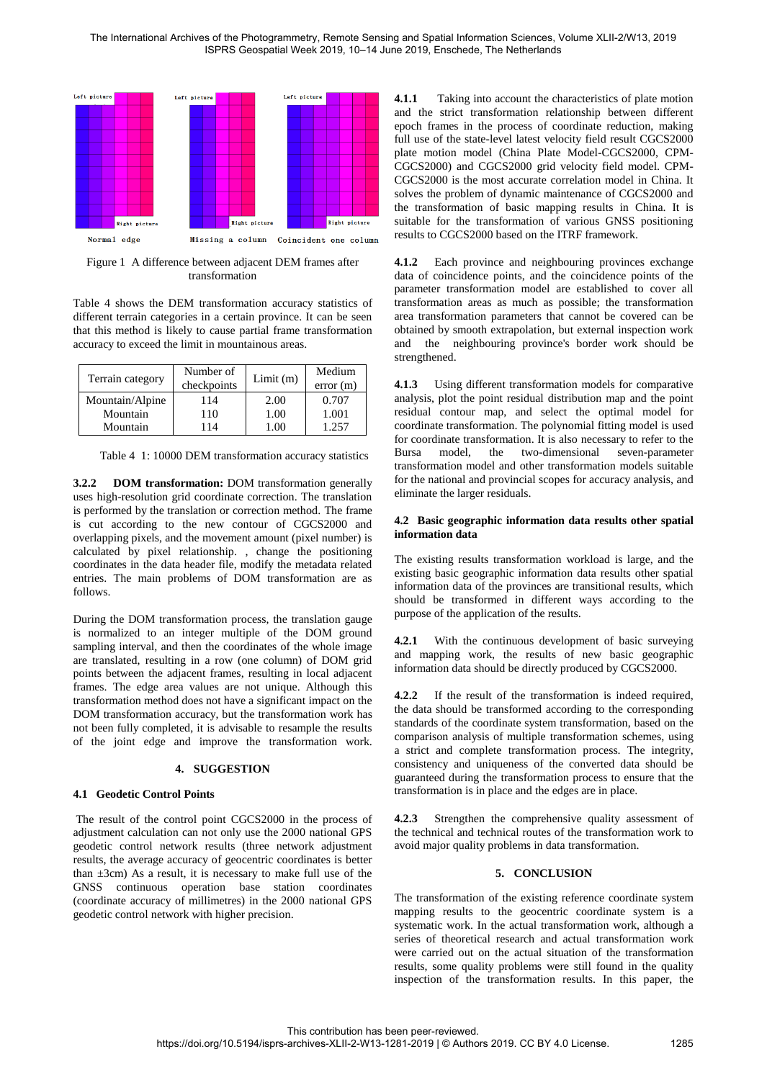

Figure 1 A difference between adjacent DEM frames after transformation

Table 4 shows the DEM transformation accuracy statistics of different terrain categories in a certain province. It can be seen that this method is likely to cause partial frame transformation accuracy to exceed the limit in mountainous areas.

| Terrain category | Number of<br>checkpoints | Limit(m)     | Medium<br>error(m) |
|------------------|--------------------------|--------------|--------------------|
| Mountain/Alpine  | 114                      | 2.00         | 0.707              |
| Mountain         | 110                      | 1.00         | 1.001              |
| Mountain         | 114                      | $00^{\circ}$ | 1.257              |

Table 4 1: 10000 DEM transformation accuracy statistics

**3.2.2 DOM transformation:** DOM transformation generally uses high-resolution grid coordinate correction. The translation is performed by the translation or correction method. The frame is cut according to the new contour of CGCS2000 and overlapping pixels, and the movement amount (pixel number) is calculated by pixel relationship. , change the positioning coordinates in the data header file, modify the metadata related entries. The main problems of DOM transformation are as follows.

During the DOM transformation process, the translation gauge is normalized to an integer multiple of the DOM ground sampling interval, and then the coordinates of the whole image are translated, resulting in a row (one column) of DOM grid points between the adjacent frames, resulting in local adjacent frames. The edge area values are not unique. Although this transformation method does not have a significant impact on the DOM transformation accuracy, but the transformation work has not been fully completed, it is advisable to resample the results of the joint edge and improve the transformation work.

# **4. SUGGESTION**

### **4.1 Geodetic Control Points**

 The result of the control point CGCS2000 in the process of adjustment calculation can not only use the 2000 national GPS geodetic control network results (three network adjustment results, the average accuracy of geocentric coordinates is better than  $\pm 3$ cm) As a result, it is necessary to make full use of the GNSS continuous operation base station coordinates (coordinate accuracy of millimetres) in the 2000 national GPS geodetic control network with higher precision.

**4.1.1** Taking into account the characteristics of plate motion and the strict transformation relationship between different epoch frames in the process of coordinate reduction, making full use of the state-level latest velocity field result CGCS2000 plate motion model (China Plate Model-CGCS2000, CPM-CGCS2000) and CGCS2000 grid velocity field model. CPM-CGCS2000 is the most accurate correlation model in China. It solves the problem of dynamic maintenance of CGCS2000 and the transformation of basic mapping results in China. It is suitable for the transformation of various GNSS positioning results to CGCS2000 based on the ITRF framework.

**4.1.2** Each province and neighbouring provinces exchange data of coincidence points, and the coincidence points of the parameter transformation model are established to cover all transformation areas as much as possible; the transformation area transformation parameters that cannot be covered can be obtained by smooth extrapolation, but external inspection work and the neighbouring province's border work should be strengthened.

**4.1.3** Using different transformation models for comparative analysis, plot the point residual distribution map and the point residual contour map, and select the optimal model for coordinate transformation. The polynomial fitting model is used for coordinate transformation. It is also necessary to refer to the Bursa model, the two-dimensional seven-parameter transformation model and other transformation models suitable for the national and provincial scopes for accuracy analysis, and eliminate the larger residuals.

### **4.2 Basic geographic information data results other spatial information data**

The existing results transformation workload is large, and the existing basic geographic information data results other spatial information data of the provinces are transitional results, which should be transformed in different ways according to the purpose of the application of the results.

**4.2.1** With the continuous development of basic surveying and mapping work, the results of new basic geographic information data should be directly produced by CGCS2000.

**4.2.2** If the result of the transformation is indeed required, the data should be transformed according to the corresponding standards of the coordinate system transformation, based on the comparison analysis of multiple transformation schemes, using a strict and complete transformation process. The integrity, consistency and uniqueness of the converted data should be guaranteed during the transformation process to ensure that the transformation is in place and the edges are in place.

**4.2.3** Strengthen the comprehensive quality assessment of the technical and technical routes of the transformation work to avoid major quality problems in data transformation.

# **5. CONCLUSION**

The transformation of the existing reference coordinate system mapping results to the geocentric coordinate system is a systematic work. In the actual transformation work, although a series of theoretical research and actual transformation work were carried out on the actual situation of the transformation results, some quality problems were still found in the quality inspection of the transformation results. In this paper, the